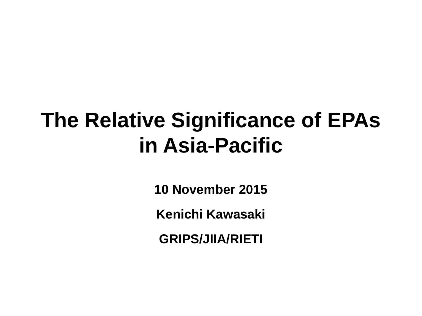## **The Relative Significance of EPAs in Asia-Pacific**

**10 November 2015**

**Kenichi Kawasaki**

**GRIPS/JIIA/RIETI**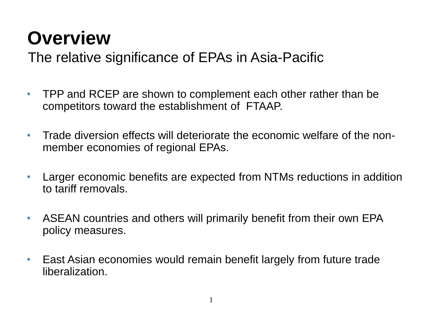#### **Overview**

#### The relative significance of EPAs in Asia-Pacific

- TPP and RCEP are shown to complement each other rather than be competitors toward the establishment of FTAAP.
- Trade diversion effects will deteriorate the economic welfare of the nonmember economies of regional EPAs.
- Larger economic benefits are expected from NTMs reductions in addition to tariff removals.
- ASEAN countries and others will primarily benefit from their own EPA policy measures.
- East Asian economies would remain benefit largely from future trade liberalization.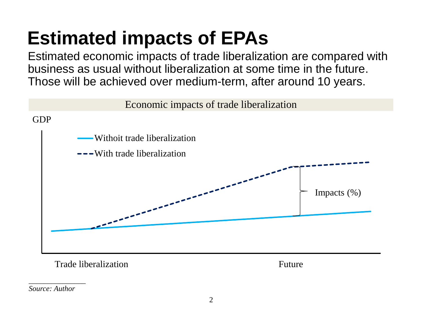#### **Estimated impacts of EPAs**

Estimated economic impacts of trade liberalization are compared with business as usual without liberalization at some time in the future. Those will be achieved over medium-term, after around 10 years.



Trade liberalization Future

*Source: Author* 

*\_\_\_\_\_\_\_\_\_\_\_\_\_\_\_*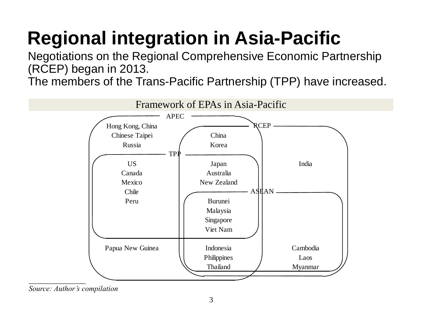# **Regional integration in Asia-Pacific**

Negotiations on the Regional Comprehensive Economic Partnership (RCEP) began in 2013.

The members of the Trans-Pacific Partnership (TPP) have increased.



*Source: Author's compilation*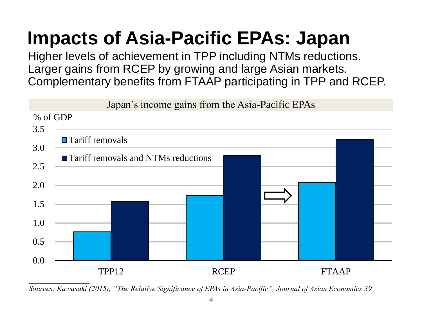## **Impacts of Asia-Pacific EPAs: Japan**

Higher levels of achievement in TPP including NTMs reductions. Larger gains from RCEP by growing and large Asian markets. Complementary benefits from FTAAP participating in TPP and RCEP.

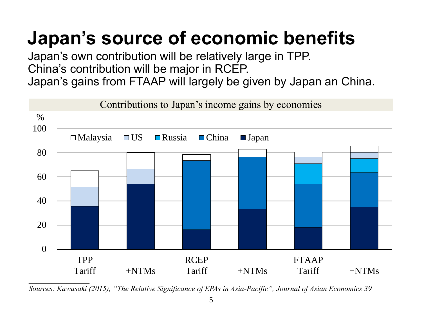## **Japan's source of economic benefits**

Japan's own contribution will be relatively large in TPP. China's contribution will be major in RCEP. Japan's gains from FTAAP will largely be given by Japan an China.

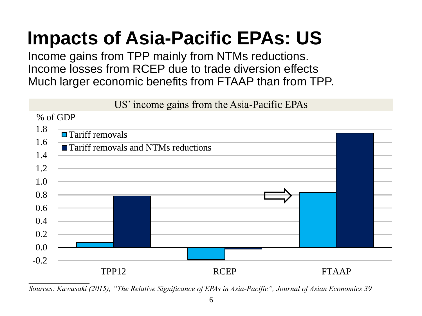#### **Impacts of Asia-Pacific EPAs: US**

Income gains from TPP mainly from NTMs reductions. Income losses from RCEP due to trade diversion effects Much larger economic benefits from FTAAP than from TPP.

US' income gains from the Asia-Pacific EPAs



*\_\_\_\_\_\_\_\_\_\_\_\_\_\_\_\_ Sources: Kawasaki (2015), "The Relative Significance of EPAs in Asia-Pacific", Journal of Asian Economics 39*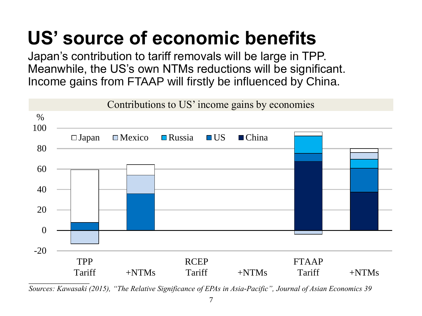#### **US' source of economic benefits**

Japan's contribution to tariff removals will be large in TPP. Meanwhile, the US's own NTMs reductions will be significant. Income gains from FTAAP will firstly be influenced by China.



*Sources: Kawasaki (2015), "The Relative Significance of EPAs in Asia-Pacific", Journal of Asian Economics 39*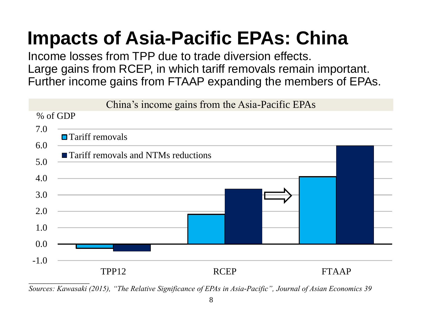## **Impacts of Asia-Pacific EPAs: China**

Income losses from TPP due to trade diversion effects. Large gains from RCEP, in which tariff removals remain important. Further income gains from FTAAP expanding the members of EPAs.

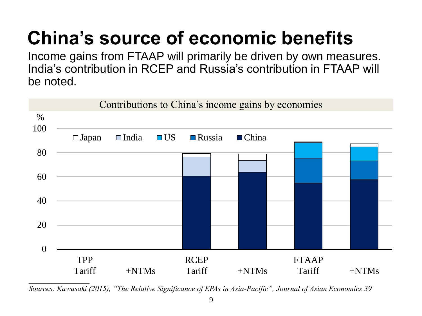# **China's source of economic benefits**

Income gains from FTAAP will primarily be driven by own measures. India's contribution in RCEP and Russia's contribution in FTAAP will be noted.



*Sources: Kawasaki (2015), "The Relative Significance of EPAs in Asia-Pacific", Journal of Asian Economics 39*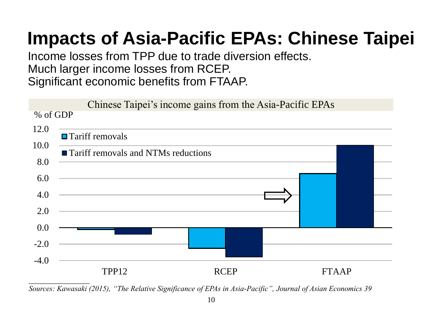#### **Impacts of Asia-Pacific EPAs: Chinese Taipei**

Income losses from TPP due to trade diversion effects. Much larger income losses from RCEP. Significant economic benefits from FTAAP.

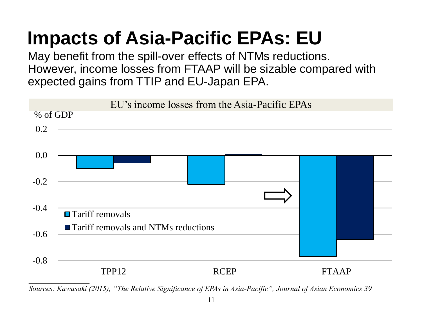## **Impacts of Asia-Pacific EPAs: EU**

May benefit from the spill-over effects of NTMs reductions. However, income losses from FTAAP will be sizable compared with expected gains from TTIP and EU-Japan EPA.



*Sources: Kawasaki (2015), "The Relative Significance of EPAs in Asia-Pacific", Journal of Asian Economics 39*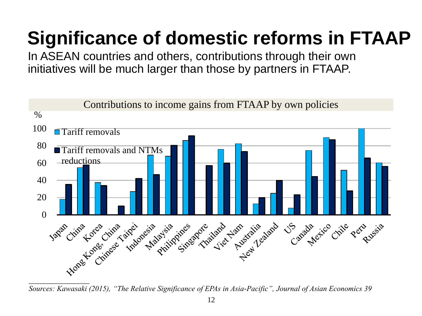## **Significance of domestic reforms in FTAAP**

In ASEAN countries and others, contributions through their own initiatives will be much larger than those by partners in FTAAP.



*Sources: Kawasaki (2015), "The Relative Significance of EPAs in Asia-Pacific", Journal of Asian Economics 39*